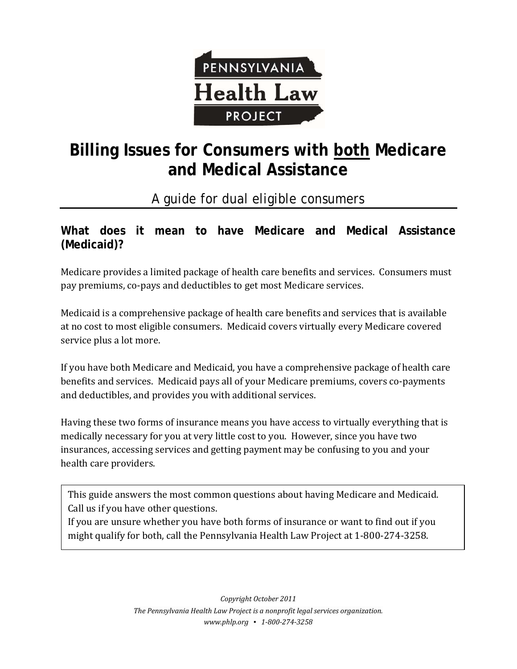

# **Billing Issues for Consumers with both Medicare and Medical Assistance**

A guide for dual eligible consumers

## **What does it mean to have Medicare and Medical Assistance (Medicaid)?**

Medicare provides a limited package of health care benefits and services. Consumers must pay premiums, co‐pays and deductibles to get most Medicare services.

Medicaid is a comprehensive package of health care benefits and services that is available at no cost to most eligible consumers. Medicaid covers virtually every Medicare covered service plus a lot more.

If you have both Medicare and Medicaid, you have a comprehensive package of health care benefits and services. Medicaid pays all of your Medicare premiums, covers co-payments and deductibles, and provides you with additional services.

Having these two forms of insurance means you have access to virtually everything that is medically necessary for you at very little cost to you. However, since you have two insurances, accessing services and getting payment may be confusing to you and your health care providers.

This guide answers the most common questions about having Medicare and Medicaid. Call us if you have other questions.

If you are unsure whether you have both forms of insurance or want to find out if you might qualify for both, call the Pennsylvania Health Law Project at 1‐800‐274‐3258.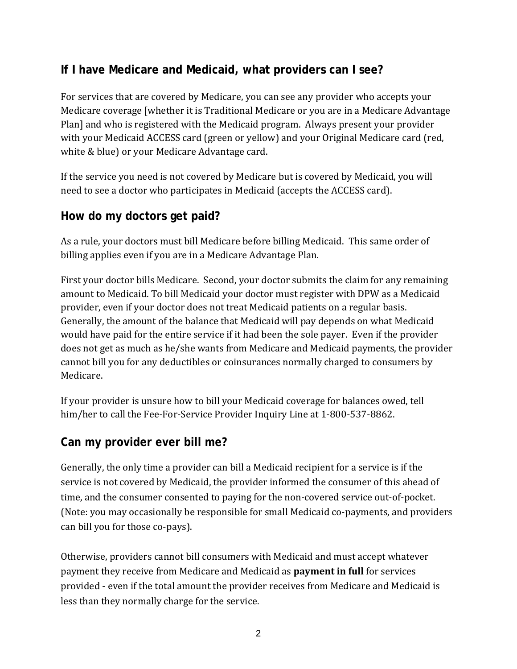# **If I have Medicare and Medicaid, what providers can I see?**

For services that are covered by Medicare, you can see any provider who accepts your Medicare coverage [whether it is Traditional Medicare or you are in a Medicare Advantage Plan] and who is registered with the Medicaid program. Always present your provider with your Medicaid ACCESS card (green or yellow) and your Original Medicare card (red, white & blue) or your Medicare Advantage card.

If the service you need is not covered by Medicare but is covered by Medicaid, you will need to see a doctor who participates in Medicaid (accepts the ACCESS card).

#### **How do my doctors get paid?**

As a rule, your doctors must bill Medicare before billing Medicaid. This same order of billing applies even if you are in a Medicare Advantage Plan.

First your doctor bills Medicare. Second, your doctor submits the claim for any remaining amount to Medicaid. To bill Medicaid your doctor must register with DPW as a Medicaid provider, even if your doctor does not treat Medicaid patients on a regular basis. Generally, the amount of the balance that Medicaid will pay depends on what Medicaid would have paid for the entire service if it had been the sole payer. Even if the provider does not get as much as he/she wants from Medicare and Medicaid payments, the provider cannot bill you for any deductibles or coinsurances normally charged to consumers by Medicare.

If your provider is unsure how to bill your Medicaid coverage for balances owed, tell him/her to call the Fee-For-Service Provider Inquiry Line at 1-800-537-8862.

## **Can my provider ever bill me?**

Generally, the only time a provider can bill a Medicaid recipient for a service is if the service is not covered by Medicaid, the provider informed the consumer of this ahead of time, and the consumer consented to paying for the non‐covered service out‐of‐pocket. (Note: you may occasionally be responsible for small Medicaid co‐payments, and providers can bill you for those co‐pays).

Otherwise, providers cannot bill consumers with Medicaid and must accept whatever payment they receive from Medicare and Medicaid as **payment in full** for services provided ‐ even if the total amount the provider receives from Medicare and Medicaid is less than they normally charge for the service.